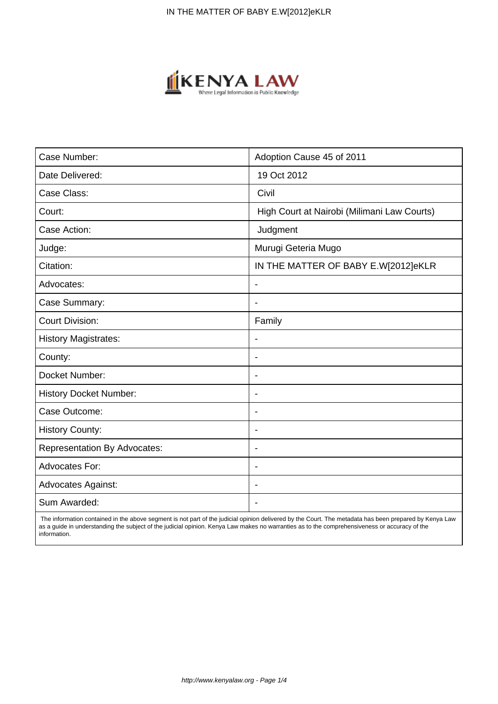

| Case Number:                        | Adoption Cause 45 of 2011                   |
|-------------------------------------|---------------------------------------------|
| Date Delivered:                     | 19 Oct 2012                                 |
| Case Class:                         | Civil                                       |
| Court:                              | High Court at Nairobi (Milimani Law Courts) |
| Case Action:                        | Judgment                                    |
| Judge:                              | Murugi Geteria Mugo                         |
| Citation:                           | IN THE MATTER OF BABY E.W[2012]eKLR         |
| Advocates:                          | $\blacksquare$                              |
| Case Summary:                       | $\overline{\phantom{0}}$                    |
| <b>Court Division:</b>              | Family                                      |
| <b>History Magistrates:</b>         |                                             |
| County:                             |                                             |
| Docket Number:                      |                                             |
| <b>History Docket Number:</b>       | $\overline{\phantom{a}}$                    |
| Case Outcome:                       | $\blacksquare$                              |
| <b>History County:</b>              | $\overline{\phantom{a}}$                    |
| <b>Representation By Advocates:</b> | $\blacksquare$                              |
| Advocates For:                      | $\blacksquare$                              |
| <b>Advocates Against:</b>           |                                             |
| Sum Awarded:                        |                                             |

 The information contained in the above segment is not part of the judicial opinion delivered by the Court. The metadata has been prepared by Kenya Law as a guide in understanding the subject of the judicial opinion. Kenya Law makes no warranties as to the comprehensiveness or accuracy of the information.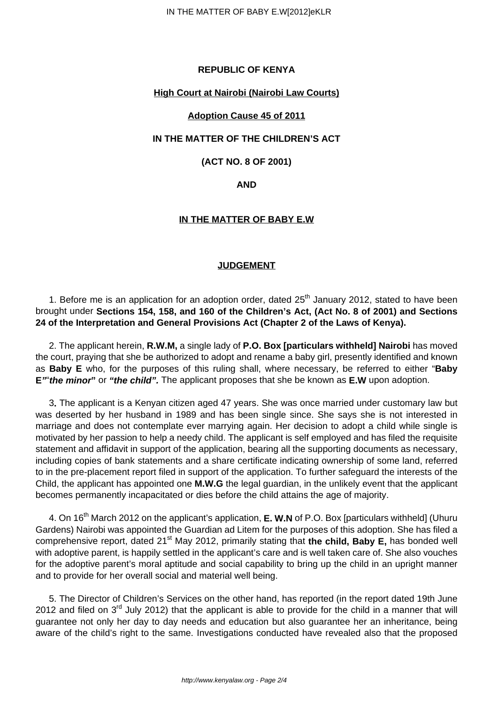# **REPUBLIC OF KENYA**

## **High Court at Nairobi (Nairobi Law Courts)**

## **Adoption Cause 45 of 2011**

## **IN THE MATTER OF THE CHILDREN'S ACT**

# **(ACT NO. 8 OF 2001)**

### **AND**

## **IN THE MATTER OF BABY E.W**

### **JUDGEMENT**

1. Before me is an application for an adoption order, dated  $25<sup>th</sup>$  January 2012, stated to have been brought under **Sections 154, 158, and 160 of the Children's Act, (Act No. 8 of 2001) and Sections 24 of the Interpretation and General Provisions Act (Chapter 2 of the Laws of Kenya).**

2. The applicant herein, **R.W.M,** a single lady of **P.O. Box [particulars withheld] Nairobi** has moved the court, praying that she be authorized to adopt and rename a baby girl, presently identified and known as **Baby E** who, for the purposes of this ruling shall, where necessary, be referred to either "**Baby E"**"**the minor"** or **"the child".** The applicant proposes that she be known as **E.W** upon adoption.

3**.** The applicant is a Kenyan citizen aged 47 years. She was once married under customary law but was deserted by her husband in 1989 and has been single since. She says she is not interested in marriage and does not contemplate ever marrying again. Her decision to adopt a child while single is motivated by her passion to help a needy child. The applicant is self employed and has filed the requisite statement and affidavit in support of the application, bearing all the supporting documents as necessary, including copies of bank statements and a share certificate indicating ownership of some land, referred to in the pre-placement report filed in support of the application. To further safeguard the interests of the Child, the applicant has appointed one **M.W.G** the legal guardian, in the unlikely event that the applicant becomes permanently incapacitated or dies before the child attains the age of majority.

4. On 16th March 2012 on the applicant's application, **E. W.N** of P.O. Box [particulars withheld] (Uhuru Gardens) Nairobi was appointed the Guardian ad Litem for the purposes of this adoption. She has filed a comprehensive report, dated 21<sup>st</sup> May 2012, primarily stating that the child, Baby E, has bonded well with adoptive parent, is happily settled in the applicant's care and is well taken care of. She also vouches for the adoptive parent's moral aptitude and social capability to bring up the child in an upright manner and to provide for her overall social and material well being.

5. The Director of Children's Services on the other hand, has reported (in the report dated 19th June 2012 and filed on  $3<sup>rd</sup>$  July 2012) that the applicant is able to provide for the child in a manner that will guarantee not only her day to day needs and education but also guarantee her an inheritance, being aware of the child's right to the same. Investigations conducted have revealed also that the proposed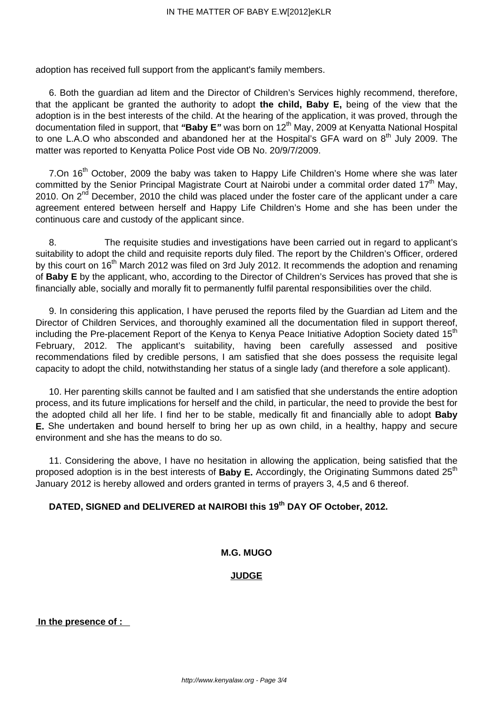adoption has received full support from the applicant's family members.

6. Both the guardian ad litem and the Director of Children's Services highly recommend, therefore, that the applicant be granted the authority to adopt **the child, Baby E,** being of the view that the adoption is in the best interests of the child. At the hearing of the application, it was proved, through the documentation filed in support, that **"Baby E"** was born on 12th May, 2009 at Kenyatta National Hospital to one L.A.O who absconded and abandoned her at the Hospital's GFA ward on  $8<sup>th</sup>$  July 2009. The matter was reported to Kenyatta Police Post vide OB No. 20/9/7/2009.

7.On 16<sup>th</sup> October, 2009 the baby was taken to Happy Life Children's Home where she was later committed by the Senior Principal Magistrate Court at Nairobi under a commital order dated  $17<sup>th</sup>$  May, 2010. On  $2^{nd}$  December, 2010 the child was placed under the foster care of the applicant under a care agreement entered between herself and Happy Life Children's Home and she has been under the continuous care and custody of the applicant since.

8. The requisite studies and investigations have been carried out in regard to applicant's suitability to adopt the child and requisite reports duly filed. The report by the Children's Officer, ordered by this court on 16<sup>th</sup> March 2012 was filed on 3rd July 2012. It recommends the adoption and renaming of **Baby E** by the applicant, who, according to the Director of Children's Services has proved that she is financially able, socially and morally fit to permanently fulfil parental responsibilities over the child.

9. In considering this application, I have perused the reports filed by the Guardian ad Litem and the Director of Children Services, and thoroughly examined all the documentation filed in support thereof, including the Pre-placement Report of the Kenya to Kenya Peace Initiative Adoption Society dated 15<sup>th</sup> February, 2012. The applicant's suitability, having been carefully assessed and positive recommendations filed by credible persons, I am satisfied that she does possess the requisite legal capacity to adopt the child, notwithstanding her status of a single lady (and therefore a sole applicant).

10. Her parenting skills cannot be faulted and I am satisfied that she understands the entire adoption process, and its future implications for herself and the child, in particular, the need to provide the best for the adopted child all her life. I find her to be stable, medically fit and financially able to adopt **Baby E.** She undertaken and bound herself to bring her up as own child, in a healthy, happy and secure environment and she has the means to do so.

11. Considering the above, I have no hesitation in allowing the application, being satisfied that the proposed adoption is in the best interests of **Baby E.** Accordingly, the Originating Summons dated 25<sup>th</sup> January 2012 is hereby allowed and orders granted in terms of prayers 3, 4,5 and 6 thereof.

# **DATED, SIGNED and DELIVERED at NAIROBI this 19th DAY OF October, 2012.**

# **M.G. MUGO**

# **JUDGE**

**In the presence of :**